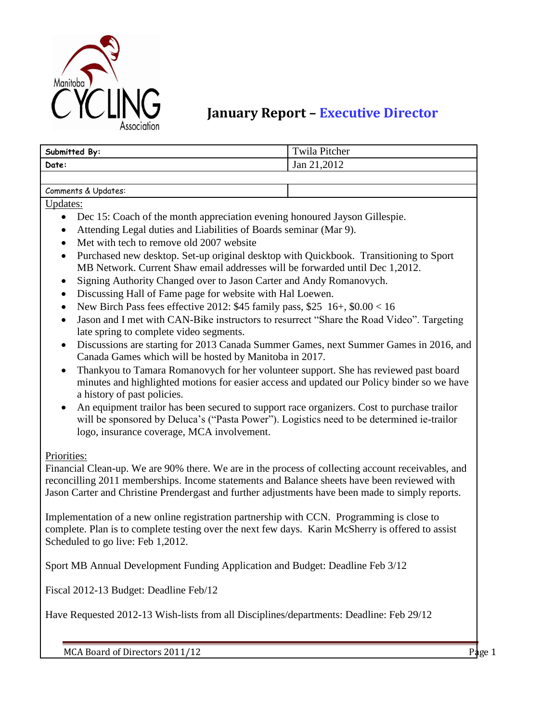

## **January Report – Executive Director**

| Submitted By:       | Twila Pitcher |
|---------------------|---------------|
| Date:               | Jan 21,2012   |
|                     |               |
| Comments & Updates: |               |

Updates:

- Dec 15: Coach of the month appreciation evening honoured Jayson Gillespie.
- Attending Legal duties and Liabilities of Boards seminar (Mar 9).
- Met with tech to remove old 2007 website
- Purchased new desktop. Set-up original desktop with Quickbook. Transitioning to Sport MB Network. Current Shaw email addresses will be forwarded until Dec 1,2012.
- Signing Authority Changed over to Jason Carter and Andy Romanovych.
- Discussing Hall of Fame page for website with Hal Loewen.
- New Birch Pass fees effective 2012: \$45 family pass, \$25 16+, \$0.00 < 16
- Jason and I met with CAN-Bike instructors to resurrect "Share the Road Video". Targeting late spring to complete video segments.
- Discussions are starting for 2013 Canada Summer Games, next Summer Games in 2016, and Canada Games which will be hosted by Manitoba in 2017.
- Thankyou to Tamara Romanovych for her volunteer support. She has reviewed past board minutes and highlighted motions for easier access and updated our Policy binder so we have a history of past policies.
- An equipment trailor has been secured to support race organizers. Cost to purchase trailor will be sponsored by Deluca's ("Pasta Power"). Logistics need to be determined ie-trailor logo, insurance coverage, MCA involvement.

Priorities:

Financial Clean-up. We are 90% there. We are in the process of collecting account receivables, and reconcilling 2011 memberships. Income statements and Balance sheets have been reviewed with Jason Carter and Christine Prendergast and further adjustments have been made to simply reports.

Implementation of a new online registration partnership with CCN. Programming is close to complete. Plan is to complete testing over the next few days. Karin McSherry is offered to assist Scheduled to go live: Feb 1,2012.

Sport MB Annual Development Funding Application and Budget: Deadline Feb 3/12

Fiscal 2012-13 Budget: Deadline Feb/12

Have Requested 2012-13 Wish-lists from all Disciplines/departments: Deadline: Feb 29/12

MCA Board of Directors 2011/12 **Page 1**